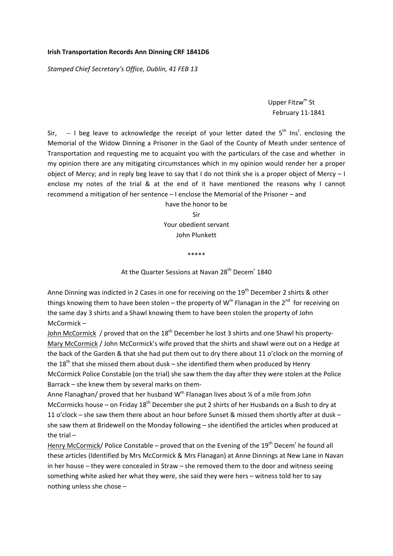# **Irish Transportation Records Ann Dinning CRF 1841D6**

*Stamped Chief Secretary's Office, Dublin, 41 FEB 13*

# Upper Fitzw<sup>m</sup> St February 11‐1841

Sir,  $-$  I beg leave to acknowledge the receipt of your letter dated the  $5<sup>th</sup>$  Ins<sup>t</sup>. enclosing the Memorial of the Widow Dinning a Prisoner in the Gaol of the County of Meath under sentence of Transportation and requesting me to acquaint you with the particulars of the case and whether in my opinion there are any mitigating circumstances which in my opinion would render her a proper object of Mercy; and in reply beg leave to say that I do not think she is a proper object of Mercy – I enclose my notes of the trial & at the end of it have mentioned the reasons why I cannot recommend a mitigation of her sentence – I enclose the Memorial of the Prisoner – and

> have the honor to be Sir Your obedient servant John Plunkett

> > \*\*\*\*\*

At the Quarter Sessions at Navan 28<sup>th</sup> Decem<sup>r</sup> 1840

Anne Dinning was indicted in 2 Cases in one for receiving on the  $19<sup>th</sup>$  December 2 shirts & other things knowing them to have been stolen – the property of  $W^m$  Flanagan in the  $2^{nd}$  for receiving on the same day 3 shirts and a Shawl knowing them to have been stolen the property of John McCormick –

John McCormick / proved that on the  $18<sup>th</sup>$  December he lost 3 shirts and one Shawl his property-Mary McCormick / John McCormick's wife proved that the shirts and shawl were out on a Hedge at the back of the Garden & that she had put them out to dry there about 11 o'clock on the morning of the  $18<sup>th</sup>$  that she missed them about dusk – she identified them when produced by Henry McCormick Police Constable (on the trial) she saw them the day after they were stolen at the Police Barrack – she knew them by several marks on them‐

Anne Flanaghan/ proved that her husband  $W^m$  Flanagan lives about  $\frac{1}{4}$  of a mile from John McCormicks house – on Friday  $18<sup>th</sup>$  December she put 2 shirts of her Husbands on a Bush to dry at 11 o'clock – she saw them there about an hour before Sunset & missed them shortly after at dusk – she saw them at Bridewell on the Monday following – she identified the articles when produced at the trial –

Henry McCormick/ Police Constable – proved that on the Evening of the 19<sup>th</sup> Decem<sup>r</sup> he found all these articles (Identified by Mrs McCormick & Mrs Flanagan) at Anne Dinnings at New Lane in Navan in her house – they were concealed in Straw – she removed them to the door and witness seeing something white asked her what they were, she said they were hers – witness told her to say nothing unless she chose –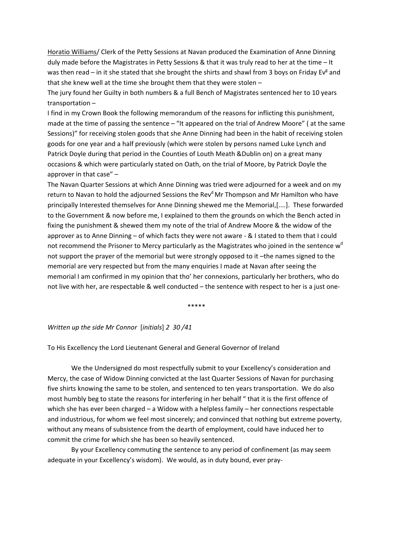Horatio Williams/ Clerk of the Petty Sessions at Navan produced the Examination of Anne Dinning duly made before the Magistrates in Petty Sessions & that it was truly read to her at the time – It was then read – in it she stated that she brought the shirts and shawl from 3 boys on Friday Ev<sup>g</sup> and that she knew well at the time she brought them that they were stolen –

The jury found her Guilty in both numbers & a full Bench of Magistrates sentenced her to 10 years transportation –

I find in my Crown Book the following memorandum of the reasons for inflicting this punishment, made at the time of passing the sentence – "It appeared on the trial of Andrew Moore" ( at the same Sessions)" for receiving stolen goods that she Anne Dinning had been in the habit of receiving stolen goods for one year and a half previously (which were stolen by persons named Luke Lynch and Patrick Doyle during that period in the Counties of Louth Meath &Dublin on) on a great many occasions & which were particularly stated on Oath, on the trial of Moore, by Patrick Doyle the approver in that case" –

The Navan Quarter Sessions at which Anne Dinning was tried were adjourned for a week and on my return to Navan to hold the adjourned Sessions the Rev<sup>d</sup> Mr Thompson and Mr Hamilton who have principally Interested themselves for Anne Dinning shewed me the Memorial,[....]. These forwarded to the Government & now before me, I explained to them the grounds on which the Bench acted in fixing the punishment & shewed them my note of the trial of Andrew Moore & the widow of the approver as to Anne Dinning – of which facts they were not aware ‐ & I stated to them that I could not recommend the Prisoner to Mercy particularly as the Magistrates who joined in the sentence w<sup>d</sup> not support the prayer of the memorial but were strongly opposed to it –the names signed to the memorial are very respected but from the many enquiries I made at Navan after seeing the memorial I am confirmed in my opinion that tho' her connexions, particularly her brothers, who do not live with her, are respectable & well conducted – the sentence with respect to her is a just one‐

\*\*\*\*\*

#### *Written up the side Mr Connor* [*initials*] *2 30 /41*

To His Excellency the Lord Lieutenant General and General Governor of Ireland

We the Undersigned do most respectfully submit to your Excellency's consideration and Mercy, the case of Widow Dinning convicted at the last Quarter Sessions of Navan for purchasing five shirts knowing the same to be stolen, and sentenced to ten years transportation. We do also most humbly beg to state the reasons for interfering in her behalf " that it is the first offence of which she has ever been charged – a Widow with a helpless family – her connections respectable and industrious, for whom we feel most sincerely; and convinced that nothing but extreme poverty, without any means of subsistence from the dearth of employment, could have induced her to commit the crime for which she has been so heavily sentenced.

By your Excellency commuting the sentence to any period of confinement (as may seem adequate in your Excellency's wisdom). We would, as in duty bound, ever pray‐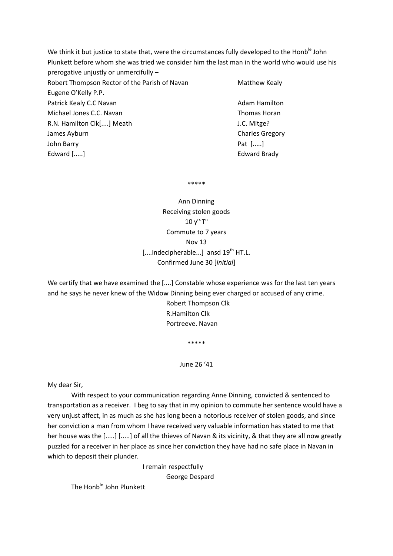We think it but justice to state that, were the circumstances fully developed to the Honb<sup>le</sup> John Plunkett before whom she was tried we consider him the last man in the world who would use his prerogative unjustly or unmercifully – Robert Thompson Rector of the Parish of Navan Matthew Kealy Eugene O'Kelly P.P. Patrick Kealy C.C Navan **Batrick Kealy C.C Navan** 

Michael Jones C.C. Navan Thomas Horan R.N. Hamilton Clk[....] Meath J.C. Mitge? James Ayburn **International Charles Gregory** Charles Gregory John Barry **Date 1 (1998)** Pat  $\left[\ldots\right]$ Edward [.....] **Edward Edward Brady** 

\*\*\*\*\*

Ann Dinning Receiving stolen goods  $10 y^{rs} T^n$ Commute to 7 years Nov 13 [....indecipherable...] ansd 19<sup>th</sup> HT.L. Confirmed June 30 [*Initial*]

We certify that we have examined the [....] Constable whose experience was for the last ten years and he says he never knew of the Widow Dinning being ever charged or accused of any crime.

> Robert Thompson Clk R.Hamilton Clk Portreeve. Navan

> > \*\*\*\*\*

June 26 '41

My dear Sir,

With respect to your communication regarding Anne Dinning, convicted & sentenced to transportation as a receiver. I beg to say that in my opinion to commute her sentence would have a very unjust affect, in as much as she has long been a notorious receiver of stolen goods, and since her conviction a man from whom I have received very valuable information has stated to me that her house was the [.....] [.....] of all the thieves of Navan & its vicinity, & that they are all now greatly puzzled for a receiver in her place as since her conviction they have had no safe place in Navan in which to deposit their plunder.

> I remain respectfully George Despard

The Honb<sup>le</sup> John Plunkett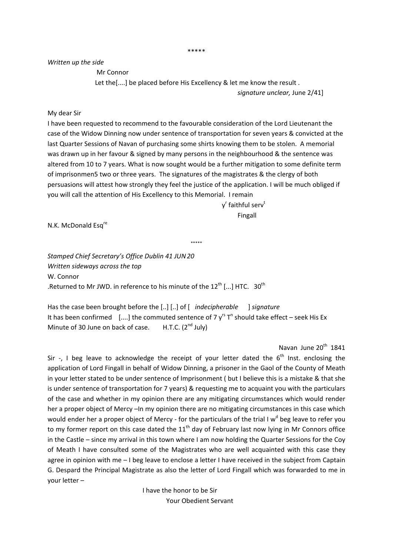## *Written up the side*

Mr Connor

 Let the[....] be placed before His Excellency & let me know the result . *signature unclear,* June 2/41]

## My dear Sir

I have been requested to recommend to the favourable consideration of the Lord Lieutenant the case of the Widow Dinning now under sentence of transportation for seven years & convicted at the last Quarter Sessions of Navan of purchasing some shirts knowing them to be stolen. A memorial was drawn up in her favour & signed by many persons in the neighbourhood & the sentence was altered from 10 to 7 years. What is now sought would be a further mitigation to some definite term of imprisonmen5 two or three years. The signatures of the magistrates & the clergy of both persuasions will attest how strongly they feel the justice of the application. I will be much obliged if you will call the attention of His Excellency to this Memorial. I remain

\*\*\*\*\*

y<sup>r</sup> faithful serv<sup>t</sup> Fingall

N.K. McDonald Esq<sup>re</sup>

*Stamped Chief Secretary's Office Dublin 41 JUN20 Written sideways across the top* W. Connor .Returned to Mr JWD. in reference to his minute of the  $12<sup>th</sup>$  [...] HTC.  $30<sup>th</sup>$ 

Has the case been brought before the [..] [..] of [ *indecipherable*  ] *signature* It has been confirmed  $[...]$  the commuted sentence of 7  $y^{rs}$  T<sup>n</sup> should take effect – seek His Ex Minute of 30 June on back of case.  $H.T.C. (2<sup>nd</sup> July)$ 

Navan June  $20<sup>th</sup> 1841$ 

Sir  $-$ , I beg leave to acknowledge the receipt of your letter dated the  $6<sup>th</sup>$  Inst. enclosing the application of Lord Fingall in behalf of Widow Dinning, a prisoner in the Gaol of the County of Meath in your letter stated to be under sentence of Imprisonment ( but I believe this is a mistake & that she is under sentence of transportation for 7 years) & requesting me to acquaint you with the particulars of the case and whether in my opinion there are any mitigating circumstances which would render her a proper object of Mercy –In my opinion there are no mitigating circumstances in this case which would ender her a proper object of Mercy - for the particulars of the trial I  $w<sup>d</sup>$  beg leave to refer you to my former report on this case dated the  $11<sup>th</sup>$  day of February last now lying in Mr Connors office in the Castle – since my arrival in this town where I am now holding the Quarter Sessions for the Coy of Meath I have consulted some of the Magistrates who are well acquainted with this case they agree in opinion with me – I beg leave to enclose a letter I have received in the subject from Captain G. Despard the Principal Magistrate as also the letter of Lord Fingall which was forwarded to me in your letter –

> I have the honor to be Sir Your Obedient Servant